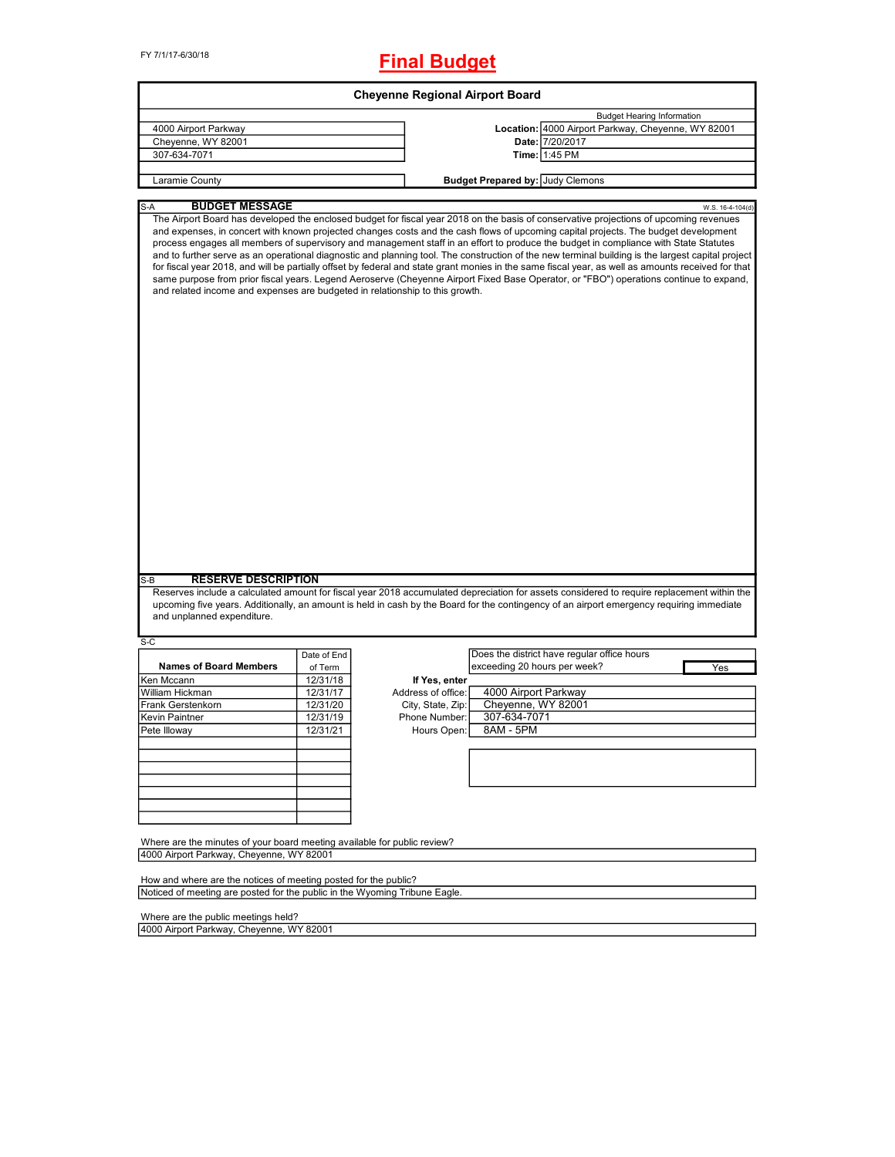# **Final Budget**

|                                                                                                      |             |                    | <b>Cheyenne Regional Airport Board</b>  |                                                                                                                                                                                                                                                                                                                                                                                                                                                                                                                                                                                           |
|------------------------------------------------------------------------------------------------------|-------------|--------------------|-----------------------------------------|-------------------------------------------------------------------------------------------------------------------------------------------------------------------------------------------------------------------------------------------------------------------------------------------------------------------------------------------------------------------------------------------------------------------------------------------------------------------------------------------------------------------------------------------------------------------------------------------|
|                                                                                                      |             |                    |                                         | <b>Budget Hearing Information</b>                                                                                                                                                                                                                                                                                                                                                                                                                                                                                                                                                         |
| 4000 Airport Parkway                                                                                 |             |                    |                                         | Location: 4000 Airport Parkway, Cheyenne, WY 82001                                                                                                                                                                                                                                                                                                                                                                                                                                                                                                                                        |
| Cheyenne, WY 82001                                                                                   |             |                    |                                         | Date: 7/20/2017                                                                                                                                                                                                                                                                                                                                                                                                                                                                                                                                                                           |
| 307-634-7071                                                                                         |             |                    |                                         | Time: 1:45 PM                                                                                                                                                                                                                                                                                                                                                                                                                                                                                                                                                                             |
| Laramie County                                                                                       |             |                    | <b>Budget Prepared by: Judy Clemons</b> |                                                                                                                                                                                                                                                                                                                                                                                                                                                                                                                                                                                           |
|                                                                                                      |             |                    |                                         |                                                                                                                                                                                                                                                                                                                                                                                                                                                                                                                                                                                           |
| <b>BUDGET MESSAGE</b><br>S-A                                                                         |             |                    |                                         | W.S. 16-4-104(d)<br>The Airport Board has developed the enclosed budget for fiscal year 2018 on the basis of conservative projections of upcoming revenues                                                                                                                                                                                                                                                                                                                                                                                                                                |
| and related income and expenses are budgeted in relationship to this growth.                         |             |                    |                                         | process engages all members of supervisory and management staff in an effort to produce the budget in compliance with State Statutes<br>and to further serve as an operational diagnostic and planning tool. The construction of the new terminal building is the largest capital project<br>for fiscal year 2018, and will be partially offset by federal and state grant monies in the same fiscal year, as well as amounts received for that<br>same purpose from prior fiscal years. Legend Aeroserve (Cheyenne Airport Fixed Base Operator, or "FBO") operations continue to expand, |
|                                                                                                      |             |                    |                                         |                                                                                                                                                                                                                                                                                                                                                                                                                                                                                                                                                                                           |
|                                                                                                      |             |                    |                                         |                                                                                                                                                                                                                                                                                                                                                                                                                                                                                                                                                                                           |
| <b>RESERVE DESCRIPTION</b>                                                                           |             |                    |                                         |                                                                                                                                                                                                                                                                                                                                                                                                                                                                                                                                                                                           |
|                                                                                                      |             |                    |                                         | Reserves include a calculated amount for fiscal year 2018 accumulated depreciation for assets considered to require replacement within the                                                                                                                                                                                                                                                                                                                                                                                                                                                |
|                                                                                                      |             |                    |                                         | upcoming five years. Additionally, an amount is held in cash by the Board for the contingency of an airport emergency requiring immediate                                                                                                                                                                                                                                                                                                                                                                                                                                                 |
| and unplanned expenditure.                                                                           |             |                    |                                         |                                                                                                                                                                                                                                                                                                                                                                                                                                                                                                                                                                                           |
|                                                                                                      |             |                    |                                         |                                                                                                                                                                                                                                                                                                                                                                                                                                                                                                                                                                                           |
|                                                                                                      | Date of End |                    |                                         | Does the district have regular office hours                                                                                                                                                                                                                                                                                                                                                                                                                                                                                                                                               |
| <b>Names of Board Members</b>                                                                        | of Term     |                    | exceeding 20 hours per week?            | Yes                                                                                                                                                                                                                                                                                                                                                                                                                                                                                                                                                                                       |
|                                                                                                      | 12/31/18    | If Yes, enter      |                                         |                                                                                                                                                                                                                                                                                                                                                                                                                                                                                                                                                                                           |
|                                                                                                      | 12/31/17    | Address of office: | 4000 Airport Parkway                    |                                                                                                                                                                                                                                                                                                                                                                                                                                                                                                                                                                                           |
|                                                                                                      | 12/31/20    | City, State, Zip:  | Cheyenne, WY 82001                      |                                                                                                                                                                                                                                                                                                                                                                                                                                                                                                                                                                                           |
|                                                                                                      | 12/31/19    | Phone Number:      | 307-634-7071                            |                                                                                                                                                                                                                                                                                                                                                                                                                                                                                                                                                                                           |
|                                                                                                      | 12/31/21    | Hours Open:        | 8AM - 5PM                               |                                                                                                                                                                                                                                                                                                                                                                                                                                                                                                                                                                                           |
|                                                                                                      |             |                    |                                         |                                                                                                                                                                                                                                                                                                                                                                                                                                                                                                                                                                                           |
|                                                                                                      |             |                    |                                         |                                                                                                                                                                                                                                                                                                                                                                                                                                                                                                                                                                                           |
|                                                                                                      |             |                    |                                         |                                                                                                                                                                                                                                                                                                                                                                                                                                                                                                                                                                                           |
|                                                                                                      |             |                    |                                         |                                                                                                                                                                                                                                                                                                                                                                                                                                                                                                                                                                                           |
| S-B<br>$S-C$<br>Ken Mccann<br>William Hickman<br>Frank Gerstenkorn<br>Kevin Paintner<br>Pete Illoway |             |                    |                                         |                                                                                                                                                                                                                                                                                                                                                                                                                                                                                                                                                                                           |
|                                                                                                      |             |                    |                                         |                                                                                                                                                                                                                                                                                                                                                                                                                                                                                                                                                                                           |
|                                                                                                      |             |                    |                                         |                                                                                                                                                                                                                                                                                                                                                                                                                                                                                                                                                                                           |
|                                                                                                      |             |                    |                                         |                                                                                                                                                                                                                                                                                                                                                                                                                                                                                                                                                                                           |
| Where are the minutes of your board meeting available for public review?                             |             |                    |                                         |                                                                                                                                                                                                                                                                                                                                                                                                                                                                                                                                                                                           |
| 4000 Airport Parkway, Cheyenne, WY 82001                                                             |             |                    |                                         |                                                                                                                                                                                                                                                                                                                                                                                                                                                                                                                                                                                           |
| How and where are the notices of meeting posted for the public?                                      |             |                    |                                         |                                                                                                                                                                                                                                                                                                                                                                                                                                                                                                                                                                                           |

Where are the public meetings held?

4000 Airport Parkway, Cheyenne, WY 82001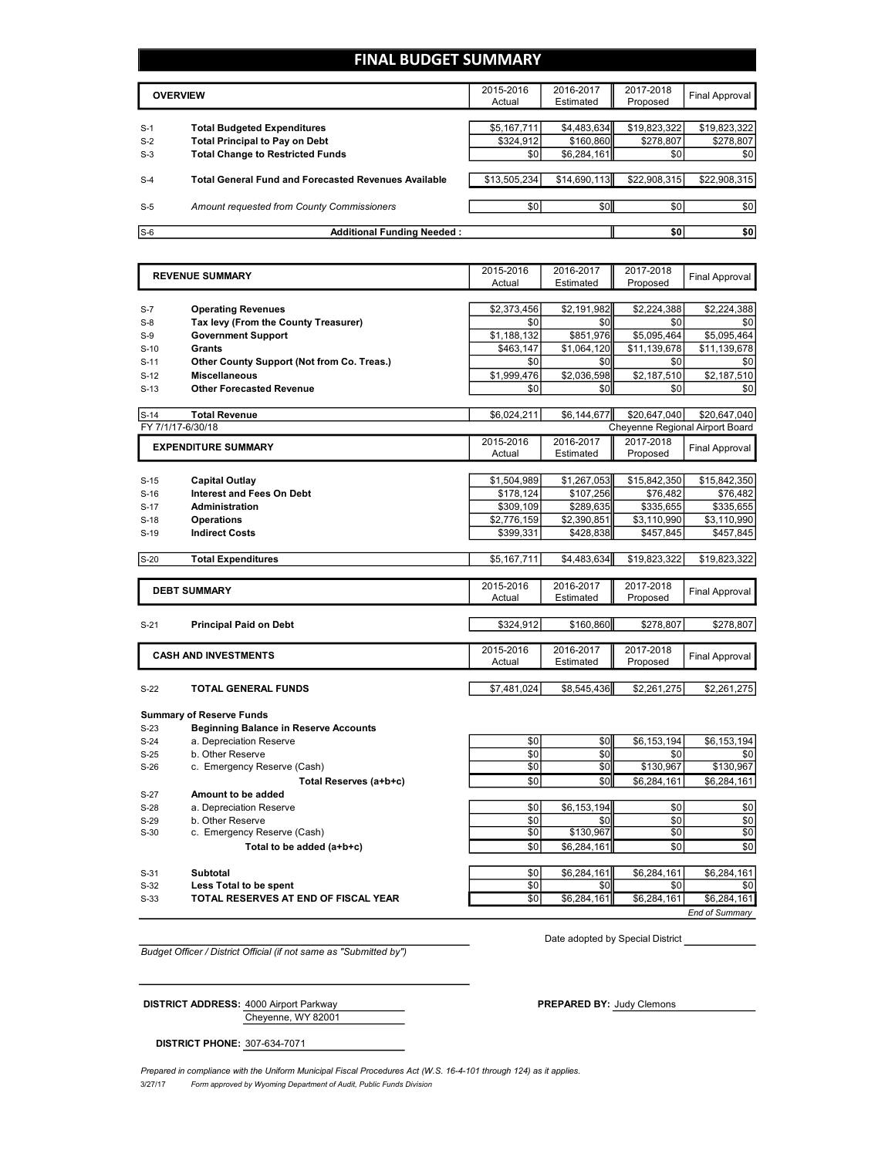## **FINAL BUDGET SUMMARY**

|       | <b>OVERVIEW</b>                                             | 2015-2016<br>Actual | 2016-2017<br>Estimated | 2017-2018<br>Proposed | Final Approval |
|-------|-------------------------------------------------------------|---------------------|------------------------|-----------------------|----------------|
|       |                                                             |                     |                        |                       |                |
| $S-1$ | <b>Total Budgeted Expenditures</b>                          | \$5,167,711         | \$4,483,634            | \$19,823,322          | \$19,823,322   |
| $S-2$ | <b>Total Principal to Pay on Debt</b>                       | \$324.912           | \$160.860              | \$278.807             | \$278,807      |
| $S-3$ | <b>Total Change to Restricted Funds</b>                     | \$0                 | \$6,284,161            | \$0                   | \$0            |
|       |                                                             |                     |                        |                       |                |
| $S-4$ | <b>Total General Fund and Forecasted Revenues Available</b> | \$13,505,234        | \$14,690,113           | \$22,908,315          | \$22,908,315   |
|       |                                                             |                     |                        |                       |                |
| $S-5$ | Amount requested from County Commissioners                  | \$0                 | \$0                    | \$0                   | \$0            |
|       |                                                             |                     |                        |                       |                |
| $S-6$ | <b>Additional Funding Needed:</b>                           |                     |                        | \$0                   | \$0            |

|        | <b>REVENUE SUMMARY</b>                                   | 2015-2016       | 2016-2017                | 2017-2018                       | <b>Final Approval</b> |
|--------|----------------------------------------------------------|-----------------|--------------------------|---------------------------------|-----------------------|
|        |                                                          | Actual          | Estimated                | Proposed                        |                       |
|        |                                                          |                 |                          |                                 |                       |
| $S-7$  | <b>Operating Revenues</b>                                | \$2,373,456     | \$2,191,982              | \$2,224,388                     | \$2,224,388           |
| $S-8$  | Tax levy (From the County Treasurer)                     | \$0             | \$0                      | \$0                             | \$0                   |
| $S-9$  | <b>Government Support</b>                                | \$1,188,132     | \$851,976                | \$5,095,464                     | \$5,095,464           |
| $S-10$ | Grants                                                   | \$463,147       | \$1,064,120              | \$11,139,678                    | \$11,139,678          |
| $S-11$ | Other County Support (Not from Co. Treas.)               | \$0             | \$0                      | \$0                             | \$0                   |
| $S-12$ | <b>Miscellaneous</b>                                     | \$1,999,476     | \$2,036,598              | \$2,187,510                     | \$2,187,510           |
| $S-13$ | <b>Other Forecasted Revenue</b>                          | \$0             | \$0                      | \$0                             | \$0                   |
|        |                                                          |                 |                          |                                 |                       |
| $S-14$ | <b>Total Revenue</b>                                     | \$6,024,211     | \$6,144,677              | \$20,647,040                    | \$20,647,040          |
|        | FY 7/1/17-6/30/18                                        |                 |                          | Cheyenne Regional Airport Board |                       |
|        | <b>EXPENDITURE SUMMARY</b>                               | 2015-2016       | 2016-2017                | 2017-2018                       | Final Approval        |
|        |                                                          | Actual          | Estimated                | Proposed                        |                       |
|        |                                                          |                 |                          |                                 |                       |
| $S-15$ | <b>Capital Outlay</b>                                    | \$1,504,989     | \$1,267,053              | \$15,842,350                    | \$15,842,350          |
| $S-16$ | <b>Interest and Fees On Debt</b>                         | \$178,124       | \$107,256                | \$76,482                        | \$76,482              |
| $S-17$ | <b>Administration</b>                                    | \$309,109       | \$289,635                | \$335,655                       | \$335,655             |
| $S-18$ | <b>Operations</b>                                        | \$2,776,159     | \$2,390,851              | \$3,110,990                     | \$3,110,990           |
| $S-19$ | <b>Indirect Costs</b>                                    | \$399,331       | \$428,838                | \$457,845                       | \$457,845             |
|        |                                                          | \$5,167,711     | \$4,483,634              | \$19,823,322                    |                       |
| $S-20$ | <b>Total Expenditures</b>                                |                 |                          |                                 | \$19,823,322          |
|        |                                                          | 2015-2016       | 2016-2017                | 2017-2018                       |                       |
|        | <b>DEBT SUMMARY</b>                                      | Actual          | Estimated                | Proposed                        | Final Approval        |
|        |                                                          |                 |                          |                                 |                       |
| $S-21$ | <b>Principal Paid on Debt</b>                            | \$324,912       | \$160,860                | \$278,807                       | \$278,807             |
|        |                                                          |                 |                          |                                 |                       |
|        | <b>CASH AND INVESTMENTS</b>                              | 2015-2016       | 2016-2017                | 2017-2018                       | <b>Final Approval</b> |
|        |                                                          | Actual          | Estimated                | Proposed                        |                       |
|        |                                                          |                 |                          |                                 |                       |
| $S-22$ | <b>TOTAL GENERAL FUNDS</b>                               | \$7.481.024     | \$8,545,436              | \$2,261,275                     | \$2,261,275           |
|        |                                                          |                 |                          |                                 |                       |
|        |                                                          |                 |                          |                                 |                       |
|        | <b>Summary of Reserve Funds</b>                          |                 |                          |                                 |                       |
| $S-23$ | <b>Beginning Balance in Reserve Accounts</b>             |                 |                          |                                 |                       |
| $S-24$ | a. Depreciation Reserve                                  | \$0             | \$0                      | \$6,153,194                     | \$6,153,194           |
| $S-25$ | b. Other Reserve                                         | \$0             | \$0                      | \$0                             | \$0                   |
| $S-26$ | c. Emergency Reserve (Cash)                              | $\overline{50}$ | $\overline{50}$          | \$130.967                       | \$130,967             |
|        | Total Reserves (a+b+c)                                   | \$0             | \$0                      | \$6,284,161                     | \$6,284,161           |
| $S-27$ | Amount to be added                                       |                 |                          |                                 |                       |
| $S-28$ | a. Depreciation Reserve                                  | \$0             | \$6,153,194              | \$0                             | \$0                   |
| $S-29$ | b. Other Reserve                                         | \$0             | \$0                      | \$0                             | \$0                   |
| $S-30$ | c. Emergency Reserve (Cash)<br>Total to be added (a+b+c) | \$0<br>\$0      | \$130,967<br>\$6,284,161 | \$0<br>\$0                      | \$0<br>\$0            |

| $S-31$ | Subtotal                             | \$0 | \$6.284.161 | \$6.284.161 | \$6.284.161           |
|--------|--------------------------------------|-----|-------------|-------------|-----------------------|
| $S-32$ | <b>Less Total to be spent</b>        | \$0 | ا 30        | \$0         | \$0                   |
| $S-33$ | TOTAL RESERVES AT END OF FISCAL YEAR | \$0 | \$6.284.161 | \$6.284.161 | \$6.284.161           |
|        |                                      |     |             |             | <b>End of Summary</b> |

*Budget Officer / District Official (if not same as "Submitted by")*

Date adopted by Special District

Cheyenne, WY 82001 **DISTRICT ADDRESS:** 4000 Airport Parkway **PREPARED** BY: Judy Clemons

**DISTRICT PHONE:** 307-634-7071

3/27/17 *Form approved by Wyoming Department of Audit, Public Funds Division* Prepared in compliance with the Uniform Municipal Fiscal Procedures Act (W.S. 16-4-101 through 124) as it applies.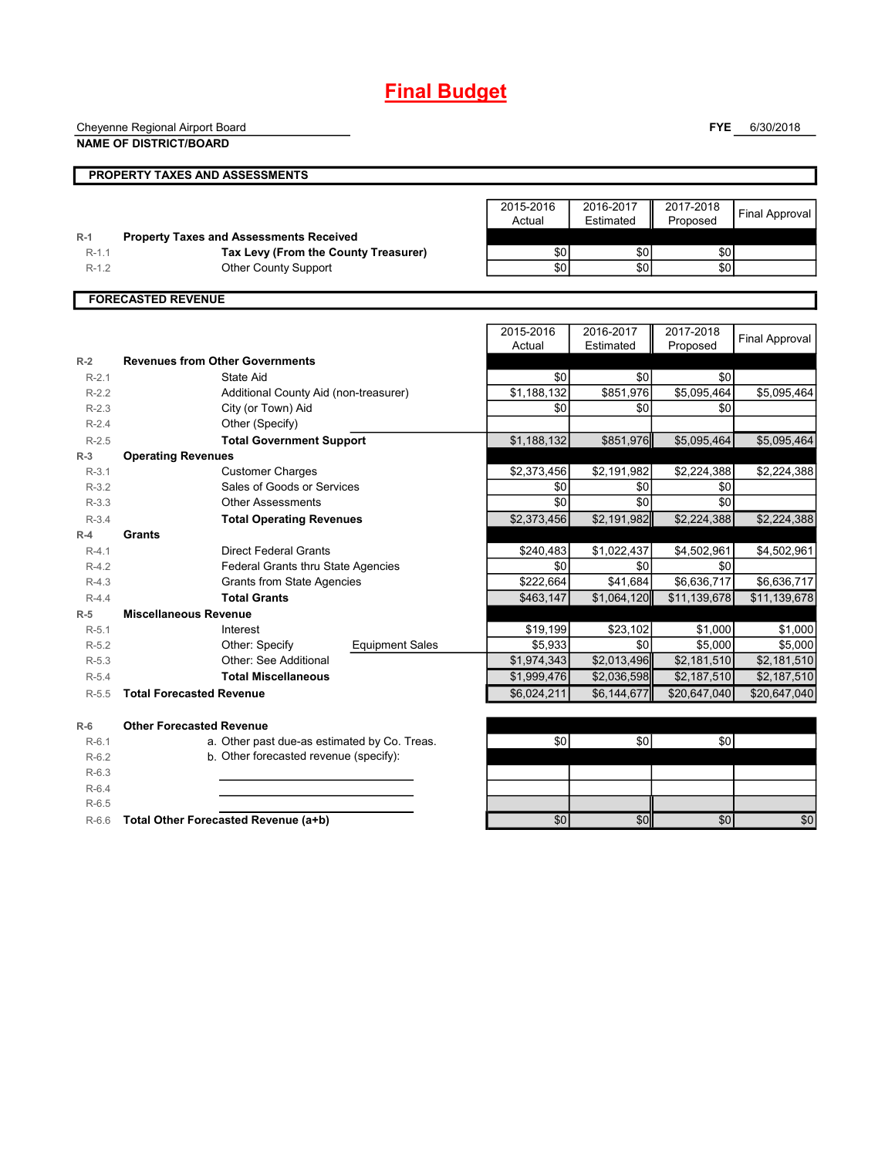# **Final Budget**

Cheyenne Regional Airport Board

**PROPERTY TAXES AND ASSESSMENTS**

**NAME OF DISTRICT/BOARD**

**FYE** 6/30/2018

|         |                                                | 2015-2016 | 2016-2017 | 2017-2018 |
|---------|------------------------------------------------|-----------|-----------|-----------|
|         |                                                | Actual    | Estimated | Proposed  |
| $R-1$   | <b>Property Taxes and Assessments Received</b> |           |           |           |
| $R-1.1$ | Tax Levy (From the County Treasurer)           | \$0       | \$0       | \$0       |
| $R-1.2$ | <b>Other County Support</b>                    | \$0       | \$0       | \$0       |
|         |                                                |           |           |           |

| 2015-2016 | 2016-2017 | 2017-2018 |                |
|-----------|-----------|-----------|----------------|
| Actual    | Estimated | Proposed  | Final Approval |
|           |           |           |                |
| 50        |           |           |                |
| DL.       |           |           |                |

## **FORECASTED REVENUE**

|         |                                              | 2015-2016   | 2016-2017               | 2017-2018    | <b>Final Approval</b> |
|---------|----------------------------------------------|-------------|-------------------------|--------------|-----------------------|
|         |                                              | Actual      | Estimated               | Proposed     |                       |
| $R-2$   | <b>Revenues from Other Governments</b>       |             |                         |              |                       |
| $R-2.1$ | <b>State Aid</b>                             | \$0         | \$0                     | \$0          |                       |
| $R-2.2$ | Additional County Aid (non-treasurer)        | \$1,188,132 | \$851,976               | \$5,095,464  | \$5,095,464           |
| $R-2.3$ | City (or Town) Aid                           | \$0         | \$0                     | \$0          |                       |
| $R-2.4$ | Other (Specify)                              |             |                         |              |                       |
| $R-2.5$ | <b>Total Government Support</b>              | \$1,188,132 | \$851,976               | \$5,095,464  | \$5,095,464           |
| $R-3$   | <b>Operating Revenues</b>                    |             |                         |              |                       |
| $R-3.1$ | <b>Customer Charges</b>                      | \$2,373,456 | \$2,191,982             | \$2,224,388  | \$2,224,388           |
| $R-3.2$ | Sales of Goods or Services                   | \$0         | \$0                     | \$0          |                       |
| $R-3.3$ | <b>Other Assessments</b>                     | \$0         | \$0                     | \$0          |                       |
| $R-3.4$ | <b>Total Operating Revenues</b>              | \$2,373,456 | \$2,191,982             | \$2,224,388  | \$2,224,388           |
| $R-4$   | Grants                                       |             |                         |              |                       |
| $R-4.1$ | <b>Direct Federal Grants</b>                 | \$240,483   | \$1,022,437             | \$4,502,961  | \$4,502,961           |
| $R-4.2$ | Federal Grants thru State Agencies           | \$0         | \$0                     | \$0          |                       |
| $R-4.3$ | <b>Grants from State Agencies</b>            | \$222,664   | \$41,684                | \$6,636,717  | \$6,636,717           |
| $R-4.4$ | <b>Total Grants</b>                          | \$463,147   | \$1,064,120             | \$11,139,678 | \$11,139,678          |
| $R-5$   | <b>Miscellaneous Revenue</b>                 |             |                         |              |                       |
| $R-5.1$ | Interest                                     | \$19,199    | \$23,102                | \$1,000      | \$1,000               |
| $R-5.2$ | Other: Specify<br><b>Equipment Sales</b>     | \$5,933     | \$0                     | \$5,000      | \$5,000               |
| $R-5.3$ | Other: See Additional                        | \$1,974,343 | $\overline{$2,013,496}$ | \$2,181,510  | \$2,181,510           |
| $R-5.4$ | <b>Total Miscellaneous</b>                   | \$1,999,476 | \$2,036,598             | \$2,187,510  | \$2,187,510           |
| $R-5.5$ | <b>Total Forecasted Revenue</b>              | \$6,024,211 | \$6,144,677             | \$20,647,040 | \$20,647,040          |
| $R-6$   | <b>Other Forecasted Revenue</b>              |             |                         |              |                       |
| $R-6.1$ | a. Other past due-as estimated by Co. Treas. | \$0         | \$0                     | \$0          |                       |
| $R-6.2$ | b. Other forecasted revenue (specify):       |             |                         |              |                       |
| $R-6.3$ |                                              |             |                         |              |                       |
| $R-6.4$ |                                              |             |                         |              |                       |
| $R-6.5$ |                                              |             |                         |              |                       |
| $R-6.6$ | Total Other Forecasted Revenue (a+b)         | \$0         | \$0                     | \$0          | \$0                   |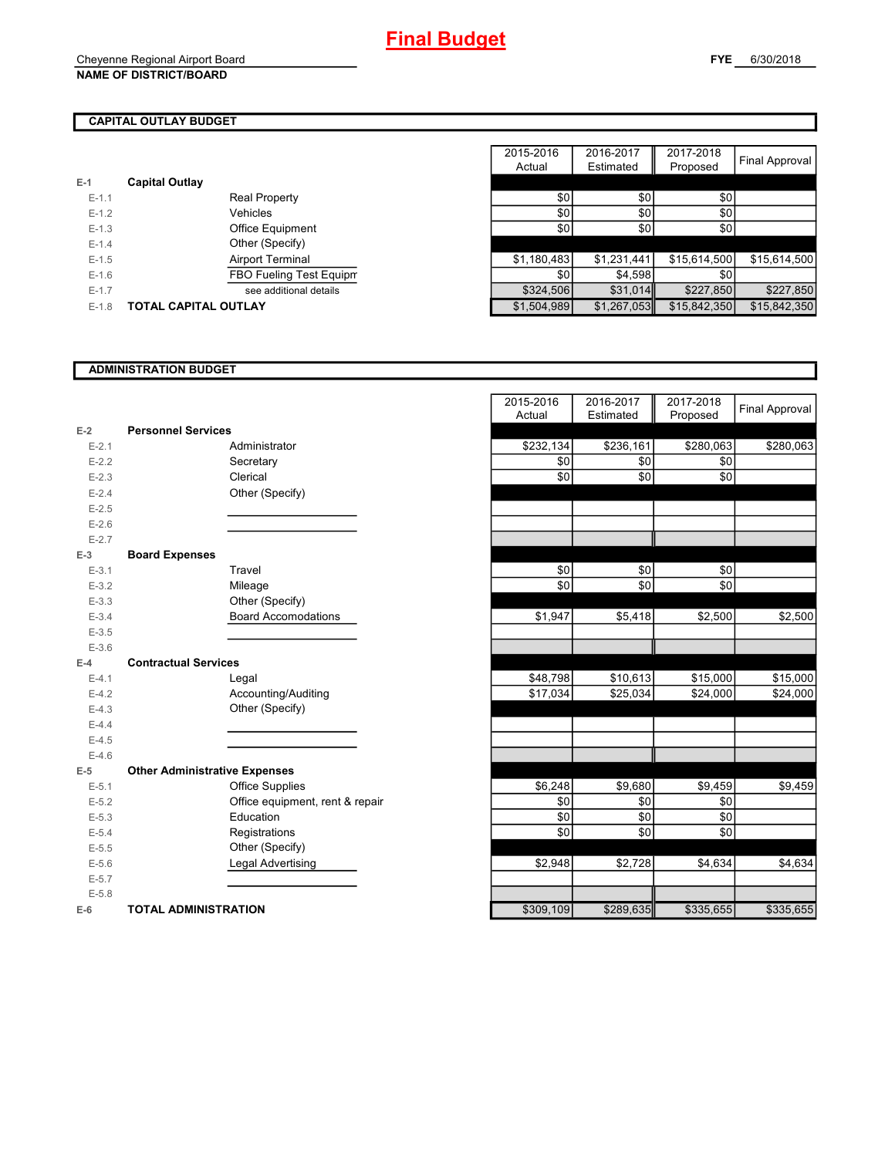# **CAPITAL OUTLAY BUDGET**

| $E-1$     | <b>Capital Outlay</b>          |             |             |              |
|-----------|--------------------------------|-------------|-------------|--------------|
| $E-1.1$   | <b>Real Property</b>           | \$0         | \$0         | \$0          |
| $E-1.2$   | Vehicles                       | \$0         | \$0         | \$0          |
| $E-1.3$   | <b>Office Equipment</b>        | \$0         | \$0         | \$0          |
| $E-1.4$   | Other (Specify)                |             |             |              |
| $E-1.5$   | Airport Terminal               | \$1,180,483 | \$1,231,441 | \$15,614,500 |
| $E-1.6$   | <b>FBO Fueling Test Equipm</b> | \$0         | \$4.598     | \$0          |
| $E - 1.7$ | see additional details         | \$324.506   | \$31.014    | \$227,850    |
| $E-1.8$   | <b>TOTAL CAPITAL OUTLAY</b>    | \$1,504,989 | \$1,267,053 | \$15,842,350 |
|           |                                |             |             |              |

|         |                             |                         | 2015-2016   | 2016-2017   | 2017-2018    |                |
|---------|-----------------------------|-------------------------|-------------|-------------|--------------|----------------|
|         |                             |                         | Actual      | Estimated   | Proposed     | Final Approval |
|         | <b>Capital Outlay</b>       |                         |             |             |              |                |
| $E-1.1$ |                             | <b>Real Property</b>    | \$0         | \$0         | \$0          |                |
| $E-1.2$ |                             | Vehicles                | \$0         | \$0         | \$0          |                |
| $E-1.3$ |                             | Office Equipment        | \$0         | \$0         | \$0          |                |
| $E-1.4$ |                             | Other (Specify)         |             |             |              |                |
| $E-1.5$ |                             | Airport Terminal        | \$1,180,483 | \$1,231,441 | \$15,614,500 | \$15,614,500   |
| $E-1.6$ |                             | FBO Fueling Test Equipm | \$0         | \$4.598     | \$0          |                |
| $E-1.7$ |                             | see additional details  | \$324,506   | \$31,014    | \$227,850    | \$227,850      |
| $E-1.8$ | <b>TOTAL CAPITAL OUTLAY</b> |                         | \$1,504,989 | \$1,267,053 | \$15,842,350 | \$15,842,350   |

### **ADMINISTRATION BUDGET**

|           |                                      |                                 | nuuai     | ∟sumat∈u  | <b>Lipposed</b> |
|-----------|--------------------------------------|---------------------------------|-----------|-----------|-----------------|
| $E-2$     | <b>Personnel Services</b>            |                                 |           |           |                 |
| $E - 2.1$ |                                      | Administrator                   | \$232,134 | \$236,161 | \$280,063       |
| $E-2.2$   |                                      | Secretary                       | \$0       | \$0       | \$0             |
| $E - 2.3$ |                                      | Clerical                        | \$0       | \$0       | \$0             |
| $E-2.4$   |                                      | Other (Specify)                 |           |           |                 |
| $E-2.5$   |                                      |                                 |           |           |                 |
| $E - 2.6$ |                                      |                                 |           |           |                 |
| $E - 2.7$ |                                      |                                 |           |           |                 |
| $E-3$     | <b>Board Expenses</b>                |                                 |           |           |                 |
| $E - 3.1$ |                                      | Travel                          | \$0       | \$0       | \$0             |
| $E - 3.2$ |                                      | Mileage                         | \$0       | \$0       | \$0             |
| $E - 3.3$ |                                      | Other (Specify)                 |           |           |                 |
| $E - 3.4$ |                                      | <b>Board Accomodations</b>      | \$1,947   | \$5,418   | \$2,500         |
| $E-3.5$   |                                      |                                 |           |           |                 |
| $E - 3.6$ |                                      |                                 |           |           |                 |
| $E-4$     | <b>Contractual Services</b>          |                                 |           |           |                 |
| $E-4.1$   |                                      | Legal                           | \$48,798  | \$10,613  | \$15,000        |
| $E-4.2$   |                                      | Accounting/Auditing             | \$17,034  | \$25,034  | \$24,000        |
| $E-4.3$   |                                      | Other (Specify)                 |           |           |                 |
| $E-4.4$   |                                      |                                 |           |           |                 |
| $E-4.5$   |                                      |                                 |           |           |                 |
| $E-4.6$   |                                      |                                 |           |           |                 |
| $E-5$     | <b>Other Administrative Expenses</b> |                                 |           |           |                 |
| $E - 5.1$ |                                      | <b>Office Supplies</b>          | \$6,248   | \$9,680   | \$9,459         |
| $E-5.2$   |                                      | Office equipment, rent & repair | \$0       | \$0       | \$0             |
| $E-5.3$   |                                      | Education                       | \$0       | \$0       | \$0             |
| $E-5.4$   |                                      | Registrations                   | \$0       | \$0       | \$0             |
| $E-5.5$   |                                      | Other (Specify)                 |           |           |                 |
| $E-5.6$   |                                      | Legal Advertising               | \$2,948   | \$2,728   | \$4,634         |
| $E-5.7$   |                                      |                                 |           |           |                 |
| $E - 5.8$ |                                      |                                 |           |           |                 |
| $E-6$     | <b>TOTAL ADMINISTRATION</b>          |                                 | \$309,109 | \$289,635 | \$335,655       |

|                         |                                      | 2015-2016 | 2016-2017 | 2017-2018 | <b>Final Approval</b> |
|-------------------------|--------------------------------------|-----------|-----------|-----------|-----------------------|
|                         |                                      | Actual    | Estimated | Proposed  |                       |
| $\overline{\mathbf{r}}$ | <b>Personnel Services</b>            |           |           |           |                       |
| $E - 2.1$               | Administrator                        | \$232,134 | \$236,161 | \$280,063 | \$280,063             |
| $E - 2.2$               | Secretary                            | \$0       | \$0       | \$0       |                       |
| $E - 2.3$               | Clerical                             | \$0       | \$0       | \$0       |                       |
| $E - 2.4$               | Other (Specify)                      |           |           |           |                       |
| $E - 2.5$               |                                      |           |           |           |                       |
| $E - 2.6$               |                                      |           |           |           |                       |
| $E - 2.7$               |                                      |           |           |           |                       |
| 3.                      | <b>Board Expenses</b>                |           |           |           |                       |
| $E - 3.1$               | Travel                               | \$0       | \$0       | \$0       |                       |
| $E-3.2$                 | Mileage                              | \$0       | \$0       | \$0       |                       |
| $E - 3.3$               | Other (Specify)                      |           |           |           |                       |
| $E - 3.4$               | <b>Board Accomodations</b>           | \$1,947   | \$5,418   | \$2,500   | \$2,500               |
| $E-3.5$                 |                                      |           |           |           |                       |
| $E - 3.6$               |                                      |           |           |           |                       |
| ı.                      | <b>Contractual Services</b>          |           |           |           |                       |
| $E - 4.1$               | Legal                                | \$48,798  | \$10,613  | \$15,000  | \$15,000              |
| $E - 4.2$               | Accounting/Auditing                  | \$17,034  | \$25,034  | \$24,000  | \$24,000              |
| $E-4.3$                 | Other (Specify)                      |           |           |           |                       |
| $E - 4.4$               |                                      |           |           |           |                       |
| $E-4.5$                 |                                      |           |           |           |                       |
| $E - 4.6$               |                                      |           |           |           |                       |
| $\overline{\mathbf{5}}$ | <b>Other Administrative Expenses</b> |           |           |           |                       |
| $E - 5.1$               | <b>Office Supplies</b>               | \$6,248   | \$9,680   | \$9,459   | \$9,459               |
| $E - 5.2$               | Office equipment, rent & repair      | \$0       | \$0       | \$0       |                       |
| $E - 5.3$               | Education                            | \$0       | \$0       | \$0       |                       |
| $E - 5.4$               | Registrations                        | \$0       | \$0       | \$0       |                       |
| $E - 5.5$               | Other (Specify)                      |           |           |           |                       |
| $E - 5.6$               | Legal Advertising                    | \$2,948   | \$2,728   | \$4,634   | \$4,634               |
| $E - 5.7$               |                                      |           |           |           |                       |
| $E - 5.8$               |                                      |           |           |           |                       |
| ŝ                       | <b>TOTAL ADMINISTRATION</b>          | \$309,109 | \$289,635 | \$335,655 | \$335,655             |
|                         |                                      |           |           |           |                       |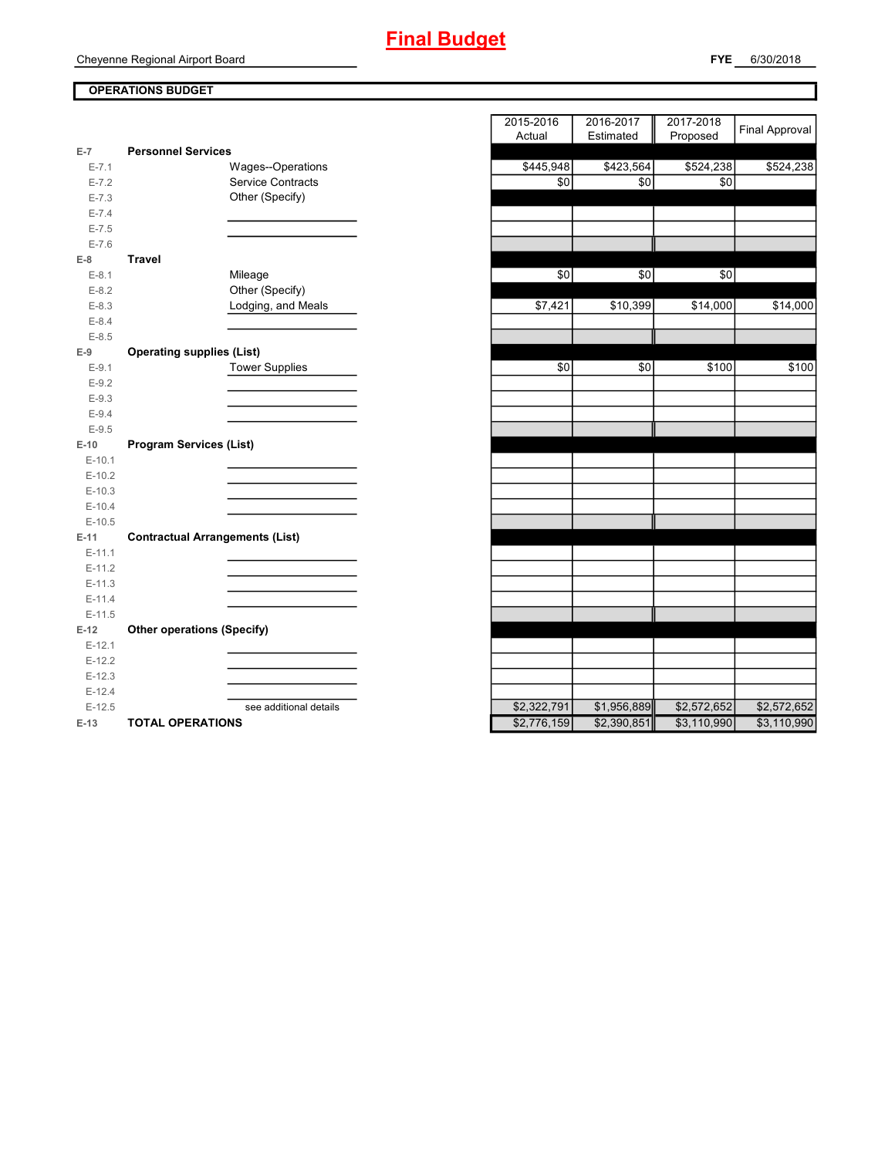# **OPERATIONS BUDGET**

| $E-7$     | <b>Personnel Services</b>              |             |             |             |
|-----------|----------------------------------------|-------------|-------------|-------------|
| $E - 7.1$ | Wages--Operations                      | \$445,948   | \$423,564   | \$524,238   |
| $E - 7.2$ | <b>Service Contracts</b>               | \$0         | \$0         | \$0         |
| $E - 7.3$ | Other (Specify)                        |             |             |             |
| $E - 7.4$ |                                        |             |             |             |
| $E - 7.5$ |                                        |             |             |             |
| $E - 7.6$ |                                        |             |             |             |
| $E-8$     | <b>Travel</b>                          |             |             |             |
| $E-8.1$   | Mileage                                | \$0         | \$0         | \$0         |
| $E-8.2$   | Other (Specify)                        |             |             |             |
| $E-8.3$   | Lodging, and Meals                     | \$7,421     | \$10,399    | \$14,000    |
| $E - 8.4$ |                                        |             |             |             |
| $E - 8.5$ |                                        |             |             |             |
| $E-9$     | <b>Operating supplies (List)</b>       |             |             |             |
| $E-9.1$   | <b>Tower Supplies</b>                  | \$0         | \$0         | \$100       |
| $E-9.2$   |                                        |             |             |             |
| $E-9.3$   |                                        |             |             |             |
| $E-9.4$   |                                        |             |             |             |
| $E-9.5$   |                                        |             |             |             |
| $E-10$    | <b>Program Services (List)</b>         |             |             |             |
| $E-10.1$  |                                        |             |             |             |
| $E-10.2$  |                                        |             |             |             |
| $E-10.3$  |                                        |             |             |             |
| $E-10.4$  |                                        |             |             |             |
| $E-10.5$  |                                        |             |             |             |
| $E-11$    | <b>Contractual Arrangements (List)</b> |             |             |             |
| $E-11.1$  |                                        |             |             |             |
| $E-11.2$  |                                        |             |             |             |
| $E-11.3$  |                                        |             |             |             |
| $E-11.4$  |                                        |             |             |             |
| $E-11.5$  |                                        |             |             |             |
| $E-12$    | <b>Other operations (Specify)</b>      |             |             |             |
| $E-12.1$  |                                        |             |             |             |
| $E-12.2$  |                                        |             |             |             |
| $E-12.3$  |                                        |             |             |             |
| $E-12.4$  |                                        |             |             |             |
| $E-12.5$  | see additional details                 | \$2,322,791 | \$1,956,889 | \$2,572,652 |
| $E-13$    | <b>TOTAL OPERATIONS</b>                | \$2,776,159 | \$2,390,851 | \$3,110,990 |

|                  |                                        | 2015-2016<br>2016-2017<br>2017-2018       | <b>Final Approval</b> |
|------------------|----------------------------------------|-------------------------------------------|-----------------------|
|                  |                                        | Proposed<br>Actual<br>Estimated           |                       |
| $\overline{7}$   | <b>Personnel Services</b>              |                                           |                       |
| $E - 7.1$        | Wages--Operations                      | \$445,948<br>\$423,564<br>\$524,238       | \$524,238             |
| $E - 7.2$        | <b>Service Contracts</b>               | \$0<br>\$0<br>\$0                         |                       |
| $E - 7.3$        | Other (Specify)                        |                                           |                       |
| $E - 7.4$        |                                        |                                           |                       |
| $E - 7.5$        |                                        |                                           |                       |
| $E - 7.6$        |                                        |                                           |                       |
| 8                | <b>Travel</b>                          |                                           |                       |
| $E-8.1$          | Mileage<br>Other (Specify)             | \$0<br>\$0<br>\$0                         |                       |
| $E-8.2$          |                                        |                                           |                       |
| $E-8.3$          | Lodging, and Meals                     | \$7,421<br>\$10,399<br>\$14,000           | \$14,000              |
| $E-8.4$          |                                        |                                           |                       |
| $E-8.5$<br>9     |                                        |                                           |                       |
|                  | <b>Operating supplies (List)</b>       | \$0<br>\$0<br>\$100                       | \$100                 |
| $E-9.1$          | <b>Tower Supplies</b>                  |                                           |                       |
| $E-9.2$          |                                        |                                           |                       |
| $E-9.3$          |                                        |                                           |                       |
| $E-9.4$          |                                        |                                           |                       |
| $E-9.5$<br>$-10$ | <b>Program Services (List)</b>         |                                           |                       |
| $E-10.1$         |                                        |                                           |                       |
| $E-10.2$         |                                        |                                           |                       |
| $E-10.3$         |                                        |                                           |                       |
| $E-10.4$         |                                        |                                           |                       |
| $E-10.5$         |                                        |                                           |                       |
| 11               | <b>Contractual Arrangements (List)</b> |                                           |                       |
| $E-11.1$         |                                        |                                           |                       |
| $E-11.2$         |                                        |                                           |                       |
| $E-11.3$         |                                        |                                           |                       |
| $E-11.4$         |                                        |                                           |                       |
| $E-11.5$         |                                        |                                           |                       |
| 12               | <b>Other operations (Specify)</b>      |                                           |                       |
| $E-12.1$         |                                        |                                           |                       |
| $E-12.2$         |                                        |                                           |                       |
| $E-12.3$         |                                        |                                           |                       |
| $E-12.4$         |                                        |                                           |                       |
| $E-12.5$         | see additional details                 | \$2,322,791<br>\$1,956,889<br>\$2,572,652 | \$2,572,652           |
| $-13$            | <b>TOTAL OPERATIONS</b>                | \$2,776,159<br>\$2,390,851<br>\$3,110,990 | \$3,110,990           |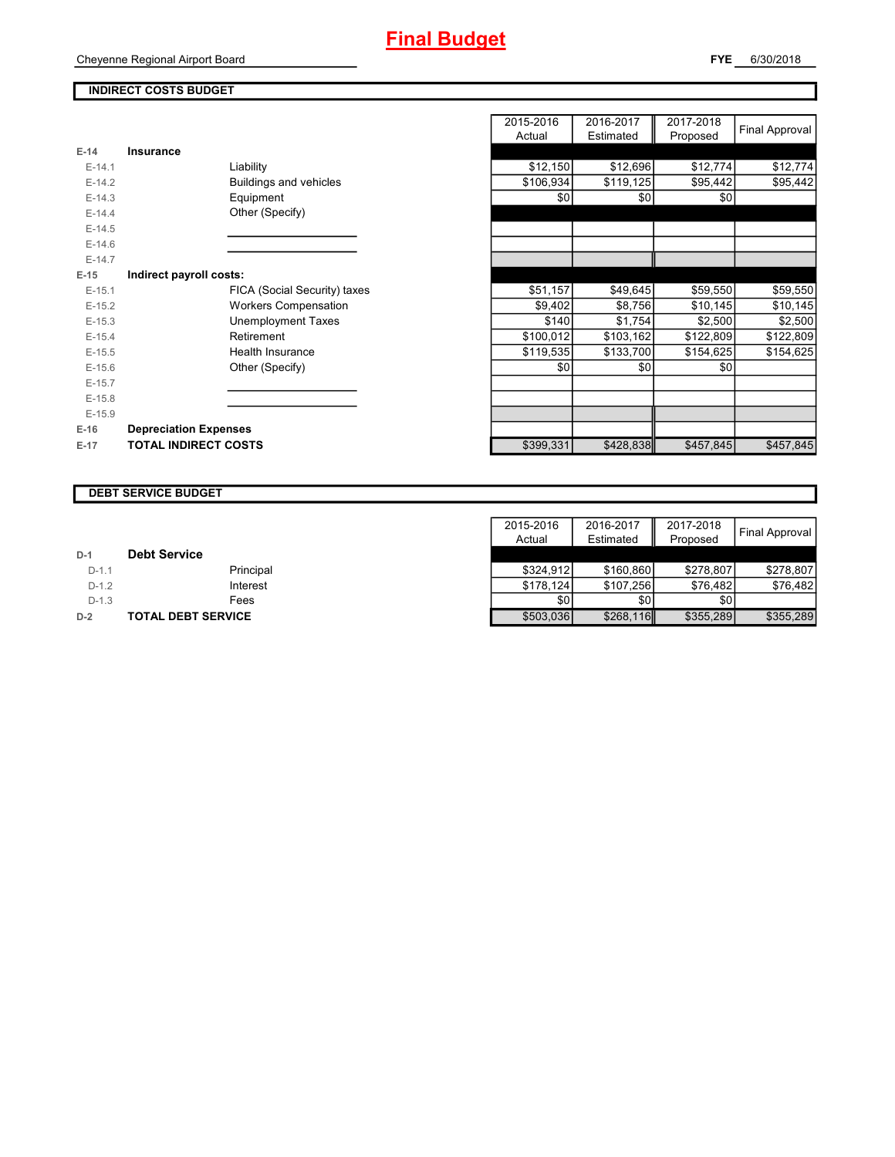## **INDIRECT COSTS BUDGET**

|          |                              | nuuai     | Lounatou  | <b>Lindhosed</b> |
|----------|------------------------------|-----------|-----------|------------------|
| $E-14$   | Insurance                    |           |           |                  |
| $E-14.1$ | Liability                    | \$12,150  | \$12,696  | \$12,774         |
| $E-14.2$ | Buildings and vehicles       | \$106,934 | \$119,125 | \$95,442         |
| $E-14.3$ | Equipment                    | \$0       | \$0       | \$0              |
| $E-14.4$ | Other (Specify)              |           |           |                  |
| $E-14.5$ |                              |           |           |                  |
| $E-14.6$ |                              |           |           |                  |
| $E-14.7$ |                              |           |           |                  |
| $E-15$   | Indirect payroll costs:      |           |           |                  |
| $E-15.1$ | FICA (Social Security) taxes | \$51,157  | \$49,645  | \$59,550         |
| $E-15.2$ | <b>Workers Compensation</b>  | \$9,402   | \$8,756   | \$10,145         |
| $E-15.3$ | Unemployment Taxes           | \$140     | \$1,754   | \$2,500          |
| $E-15.4$ | Retirement                   | \$100,012 | \$103,162 | \$122,809        |
| $E-15.5$ | <b>Health Insurance</b>      | \$119,535 | \$133,700 | \$154,625        |
| $E-15.6$ | Other (Specify)              | \$0       | \$0       | \$0              |
| $E-15.7$ |                              |           |           |                  |
| $E-15.8$ |                              |           |           |                  |
| $E-15.9$ |                              |           |           |                  |
| $E-16$   | <b>Depreciation Expenses</b> |           |           |                  |
| $E-17$   | <b>TOTAL INDIRECT COSTS</b>  | \$399,331 | \$428,838 | \$457,845        |
|          |                              |           |           |                  |

|          |                               | 2015-2016<br>Actual | 2016-2017<br>Estimated | 2017-2018<br>Proposed | Final Approval |
|----------|-------------------------------|---------------------|------------------------|-----------------------|----------------|
| $E-14$   | <b>Insurance</b>              |                     |                        |                       |                |
| $E-14.1$ | Liability                     | \$12,150            | \$12,696               | \$12,774              |                |
|          |                               |                     |                        |                       | \$12,774       |
| $E-14.2$ | <b>Buildings and vehicles</b> | \$106,934           | \$119,125              | \$95,442              | \$95,442       |
| $E-14.3$ | Equipment                     | \$0                 | \$0                    | \$0                   |                |
| $E-14.4$ | Other (Specify)               |                     |                        |                       |                |
| $E-14.5$ |                               |                     |                        |                       |                |
| $E-14.6$ |                               |                     |                        |                       |                |
| $E-14.7$ |                               |                     |                        |                       |                |
| $E-15$   | Indirect payroll costs:       |                     |                        |                       |                |
| $E-15.1$ | FICA (Social Security) taxes  | \$51,157            | \$49,645               | \$59,550              | \$59,550       |
| $E-15.2$ | <b>Workers Compensation</b>   | \$9,402             | \$8,756                | \$10,145              | \$10,145       |
| $E-15.3$ | <b>Unemployment Taxes</b>     | \$140               | \$1,754                | \$2,500               | \$2,500        |
| $E-15.4$ | Retirement                    | \$100,012           | \$103,162              | \$122,809             | \$122,809      |
| $E-15.5$ | Health Insurance              | \$119,535           | \$133,700              | \$154,625             | \$154,625      |
| $E-15.6$ | Other (Specify)               | \$0                 | \$0                    | \$0                   |                |
| $E-15.7$ |                               |                     |                        |                       |                |
| $E-15.8$ |                               |                     |                        |                       |                |
| $E-15.9$ |                               |                     |                        |                       |                |
| E-16     | <b>Depreciation Expenses</b>  |                     |                        |                       |                |
| $E-17$   | <b>TOTAL INDIRECT COSTS</b>   | \$399,331           | \$428,838              | \$457,845             | \$457,845      |
|          |                               |                     |                        |                       |                |

#### **DEBT SERVICE BUDGET**

|         |                           | 2015-2016 | 2016-2017 | 2017-2018 |                |
|---------|---------------------------|-----------|-----------|-----------|----------------|
|         |                           | Actual    | Estimated | Proposed  | Final Approval |
| $D-1$   | <b>Debt Service</b>       |           |           |           |                |
| $D-1.1$ | Principal                 | \$324.912 | \$160.860 | \$278.807 | \$278.807      |
| $D-1.2$ | Interest                  | \$178.124 | \$107.256 | \$76.482  | \$76.482       |
| $D-1.3$ | Fees                      | \$0       | \$0       | \$0       |                |
| $D-2$   | <b>TOTAL DEBT SERVICE</b> | \$503,036 | \$268,116 | \$355,289 | \$355,289      |

#### Cheyenne Regional Airport Board